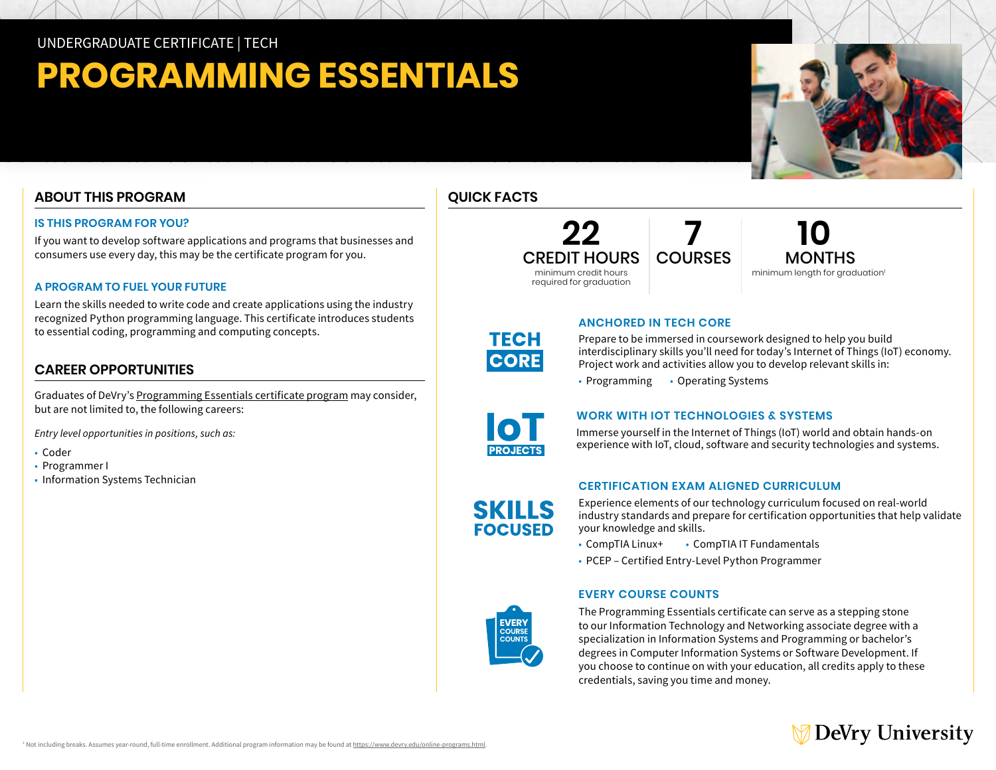UNDERGRADUATE CERTIFICATE | TECH

# **PROGRAMMING ESSENTIALS**

# **ABOUT THIS PROGRAM**

#### **IS THIS PROGRAM FOR YOU?**

If you want to develop software applications and programs that businesses and consumers use every day, this may be the certificate program for you.

#### **A PROGRAM TO FUEL YOUR FUTURE**

Learn the skills needed to write code and create applications using the industry recognized Python programming language. This certificate introduces students to essential coding, programming and computing concepts.

# **CAREER OPPORTUNITIES**

Graduates of DeVry's [Programming Essentials certificate program](https://www.devry.edu/online-programs/undergraduate-certificates/computer-programming-essentials.html) may consider, but are not limited to, the following careers:

*Entry level opportunities in positions, such as:* 

- Coder
- Programmer I
- Information Systems Technician

# **QUICK FACTS**



**10** MONTHS minimum length for graduation<sup>1</sup>



#### **ANCHORED IN TECH CORE**

Prepare to be immersed in coursework designed to help you build interdisciplinary skills you'll need for today's Internet of Things (IoT) economy. Project work and activities allow you to develop relevant skills in:

• Programming • Operating Systems



**SKILLS FOCUSED** 

#### **WORK WITH IOT TECHNOLOGIES & SYSTEMS**

Immerse yourself in the Internet of Things (IoT) world and obtain hands-on experience with IoT, cloud, software and security technologies and systems.

## **CERTIFICATION EXAM ALIGNED CURRICULUM**

Experience elements of our technology curriculum focused on real-world industry standards and prepare for certification opportunities that help validate your knowledge and skills.

- CompTIA Linux+ CompTIA IT Fundamentals PCEP Certified Entry-Level Python Programmer
- 

## **EVERY COURSE COUNTS**



The Programming Essentials certificate can serve as a stepping stone to our Information Technology and Networking associate degree with a specialization in Information Systems and Programming or bachelor's degrees in Computer Information Systems or Software Development. If you choose to continue on with your education, all credits apply to these credentials, saving you time and money.